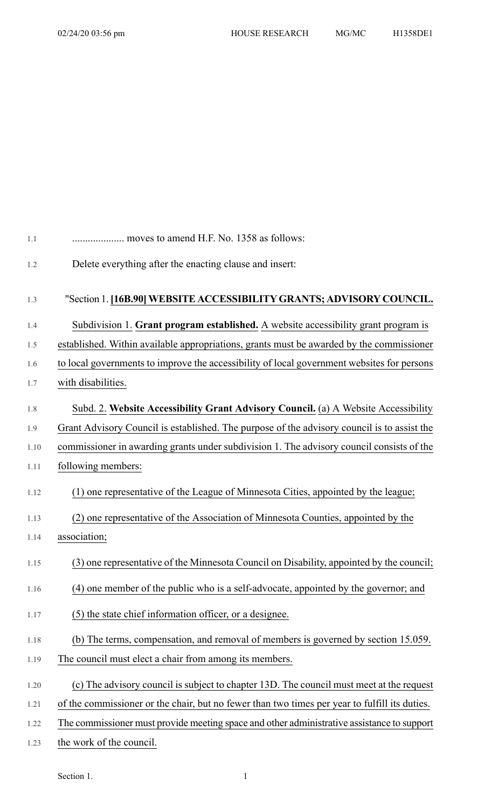| 1.1  | moves to amend H.F. No. 1358 as follows:                                                      |
|------|-----------------------------------------------------------------------------------------------|
| 1.2  | Delete everything after the enacting clause and insert:                                       |
|      |                                                                                               |
| 1.3  | "Section 1. [16B.90] WEBSITE ACCESSIBILITY GRANTS; ADVISORY COUNCIL.                          |
| 1.4  | Subdivision 1. Grant program established. A website accessibility grant program is            |
| 1.5  | established. Within available appropriations, grants must be awarded by the commissioner      |
| 1.6  | to local governments to improve the accessibility of local government websites for persons    |
| 1.7  | with disabilities.                                                                            |
| 1.8  | Subd. 2. Website Accessibility Grant Advisory Council. (a) A Website Accessibility            |
| 1.9  | Grant Advisory Council is established. The purpose of the advisory council is to assist the   |
| 1.10 | commissioner in awarding grants under subdivision 1. The advisory council consists of the     |
| 1.11 | following members:                                                                            |
| 1.12 | (1) one representative of the League of Minnesota Cities, appointed by the league;            |
| 1.13 | one representative of the Association of Minnesota Counties, appointed by the<br>(2)          |
| 1.14 | association;                                                                                  |
| 1.15 | (3) one representative of the Minnesota Council on Disability, appointed by the council;      |
| 1.16 | (4) one member of the public who is a self-advocate, appointed by the governor; and           |
| 1.17 | (5) the state chief information officer, or a designee.                                       |
| 1.18 | (b) The terms, compensation, and removal of members is governed by section 15.059.            |
| 1.19 | The council must elect a chair from among its members.                                        |
| 1.20 | (c) The advisory council is subject to chapter 13D. The council must meet at the request      |
| 1.21 | of the commissioner or the chair, but no fewer than two times per year to fulfill its duties. |
| 1.22 | The commissioner must provide meeting space and other administrative assistance to support    |
| 1.23 | the work of the council.                                                                      |

Section 1.